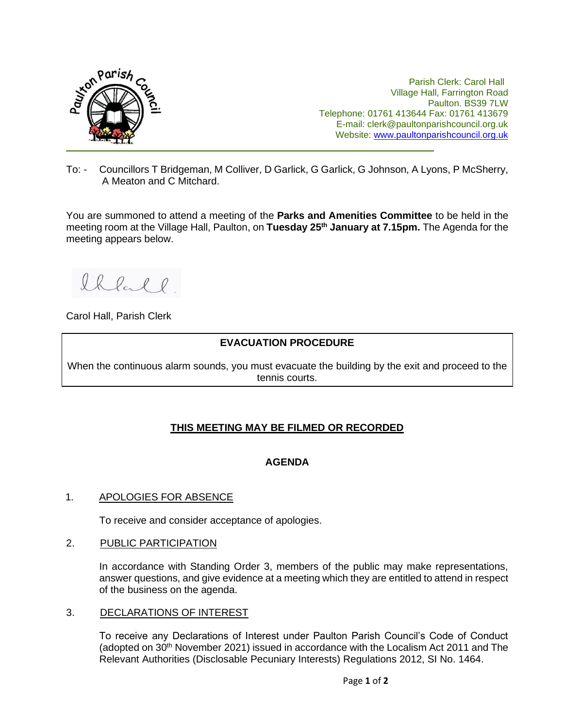

Parish Clerk: Carol Hall Village Hall, Farrington Road Paulton. BS39 7LW Telephone: 01761 413644 Fax: 01761 413679 E-mail: clerk@paultonparishcouncil.org.uk Website: [www.paultonparishcouncil.org.uk](http://www.paultonparishcouncil.org.uk/)

To: - Councillors T Bridgeman, M Colliver, D Garlick, G Garlick, G Johnson, A Lyons, P McSherry, A Meaton and C Mitchard.

You are summoned to attend a meeting of the **Parks and Amenities Committee** to be held in the meeting room at the Village Hall, Paulton, on **Tuesday 25th January at 7.15pm.** The Agenda for the meeting appears below.

Ihlal l

Carol Hall, Parish Clerk

# **EVACUATION PROCEDURE**

When the continuous alarm sounds, you must evacuate the building by the exit and proceed to the tennis courts.

# **THIS MEETING MAY BE FILMED OR RECORDED**

# **AGENDA**

# 1. APOLOGIES FOR ABSENCE

To receive and consider acceptance of apologies.

#### 2. PUBLIC PARTICIPATION

In accordance with Standing Order 3, members of the public may make representations, answer questions, and give evidence at a meeting which they are entitled to attend in respect of the business on the agenda.

#### 3. DECLARATIONS OF INTEREST

To receive any Declarations of Interest under Paulton Parish Council's Code of Conduct (adopted on 30<sup>th</sup> November 2021) issued in accordance with the Localism Act 2011 and The Relevant Authorities (Disclosable Pecuniary Interests) Regulations 2012, SI No. 1464.